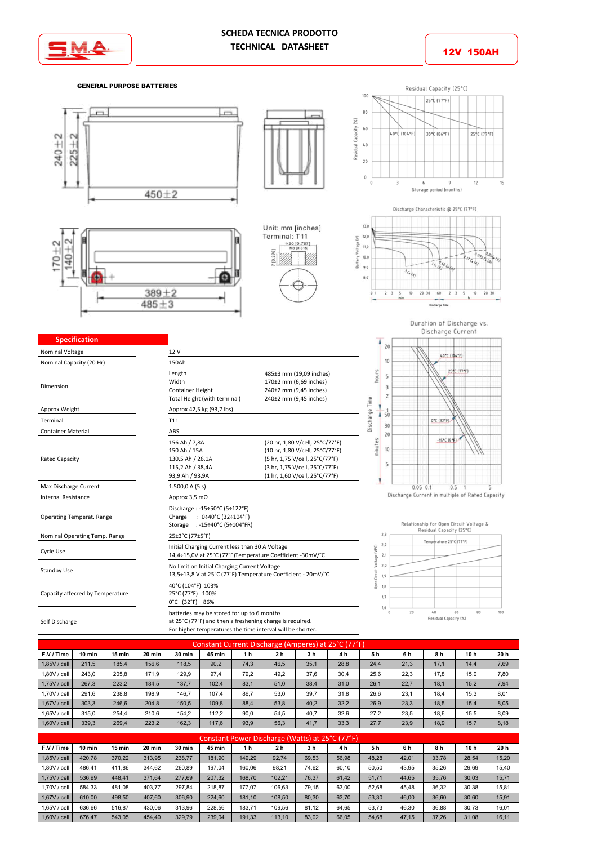



12V 150AH



| Constant Current Discharge (Amperes) at 25°C (77°F) |        |        |        |               |        |      |                |      |      |      |      |      |      |      |
|-----------------------------------------------------|--------|--------|--------|---------------|--------|------|----------------|------|------|------|------|------|------|------|
| F.V / Time                                          | 10 min | 15 min | 20 min | <b>30 min</b> | 45 min | 1 h  | 2 <sub>h</sub> | 3h   | 4h   | 5 h  | 6 h  | 8 h  | 10 h | 20 h |
| 1.85V / cell                                        | 211.5  | 185.4  | 156.6  | 118.5         | 90,2   | 74.3 | 46.5           | 35,1 | 28.8 | 24.4 | 21.3 | 17.1 | 14,4 | 7,69 |
| 1.80V / cell                                        | 243.0  | 205.8  | 171.9  | 129.9         | 97.4   | 79.2 | 49,2           | 37.6 | 30,4 | 25.6 | 22.3 | 17.8 | 15.0 | 7.80 |
| 1.75V / cell                                        | 267.3  | 223.2  | 184.5  | 137.7         | 102.4  | 83,1 | 51.0           | 38.4 | 31.0 | 26.1 | 22.7 | 18.1 | 15.2 | 7,94 |
| 1.70V / cell                                        | 291.6  | 238.8  | 198.9  | 146.7         | 107.4  | 86.7 | 53,0           | 39.7 | 31.8 | 26.6 | 23.1 | 18.4 | 15,3 | 8,01 |
| 1.67V / cell                                        | 303.3  | 246.6  | 204.8  | 150.5         | 109.8  | 88,4 | 53,8           | 40,2 | 32,2 | 26,9 | 23,3 | 18.5 | 15,4 | 8,05 |
| 1.65V / cell                                        | 315.0  | 254.4  | 210.6  | 154.2         | 112.2  | 90.0 | 54.5           | 40.7 | 32.6 | 27.2 | 23.5 | 18.6 | 15.5 | 8,09 |
| 1.60V / cell                                        | 339.3  | 269.4  | 223.2  | 162.3         | 117.6  | 93.9 | 56,3           | 41.7 | 33.3 | 27.7 | 23.9 | 18.9 | 15.7 | 8,18 |

| Constant Power Discharge (Watts) at 25°C (77°F) |        |          |        |               |               |        |                |       |       |       |       |       |       |       |
|-------------------------------------------------|--------|----------|--------|---------------|---------------|--------|----------------|-------|-------|-------|-------|-------|-------|-------|
| F.V / Time                                      | 10 min | $15$ min | 20 min | <b>30 min</b> | <b>45 min</b> | 1 h    | 2 <sub>h</sub> | 3 h   | 4 h   | 5h    | 6 h   | 8 h   | 10 h  | 20 h  |
| 1.85V / cell                                    | 420.78 | 370.22   | 313.95 | 238.77        | 181.90        | 149.29 | 92.74          | 69.53 | 56,98 | 48.28 | 42,01 | 33,78 | 28,54 | 15,20 |
| 1.80V / cell                                    | 486.41 | 411.86   | 344.62 | 260.89        | 197.04        | 160.06 | 98,21          | 74.62 | 60,10 | 50.50 | 43,95 | 35,26 | 29,69 | 15,40 |
| 1.75V / cell                                    | 536.99 | 448.41   | 371.64 | 277.69        | 207.32        | 168.70 | 102,21         | 76.37 | 61,42 | 51.71 | 44,65 | 35,76 | 30,03 | 15,71 |
| 1.70V / cell                                    | 584.33 | 481.08   | 403.77 | 297.84        | 218.87        | 177.07 | 106.63         | 79.15 | 63,00 | 52,68 | 45,48 | 36,32 | 30,38 | 15,81 |
| 1.67V / cell                                    | 610.00 | 498.50   | 407.60 | 306.90        | 224.60        | 181.10 | 108.50         | 80,30 | 63,70 | 53,30 | 46,00 | 36,60 | 30,60 | 15,91 |
| 1.65V / cell                                    | 636.66 | 516.87   | 430.06 | 313.96        | 228.56        | 183.71 | 109.56         | 81,12 | 64,65 | 53,73 | 46,30 | 36,88 | 30.73 | 16,01 |
| 1,60V / cell                                    | 676.47 | 543,05   | 454,40 | 329,79        | 239,04        | 191,33 | 113,10         | 83,02 | 66,05 | 54,68 | 47,15 | 37,26 | 31,08 | 16,11 |
|                                                 |        |          |        |               |               |        |                |       |       |       |       |       |       |       |